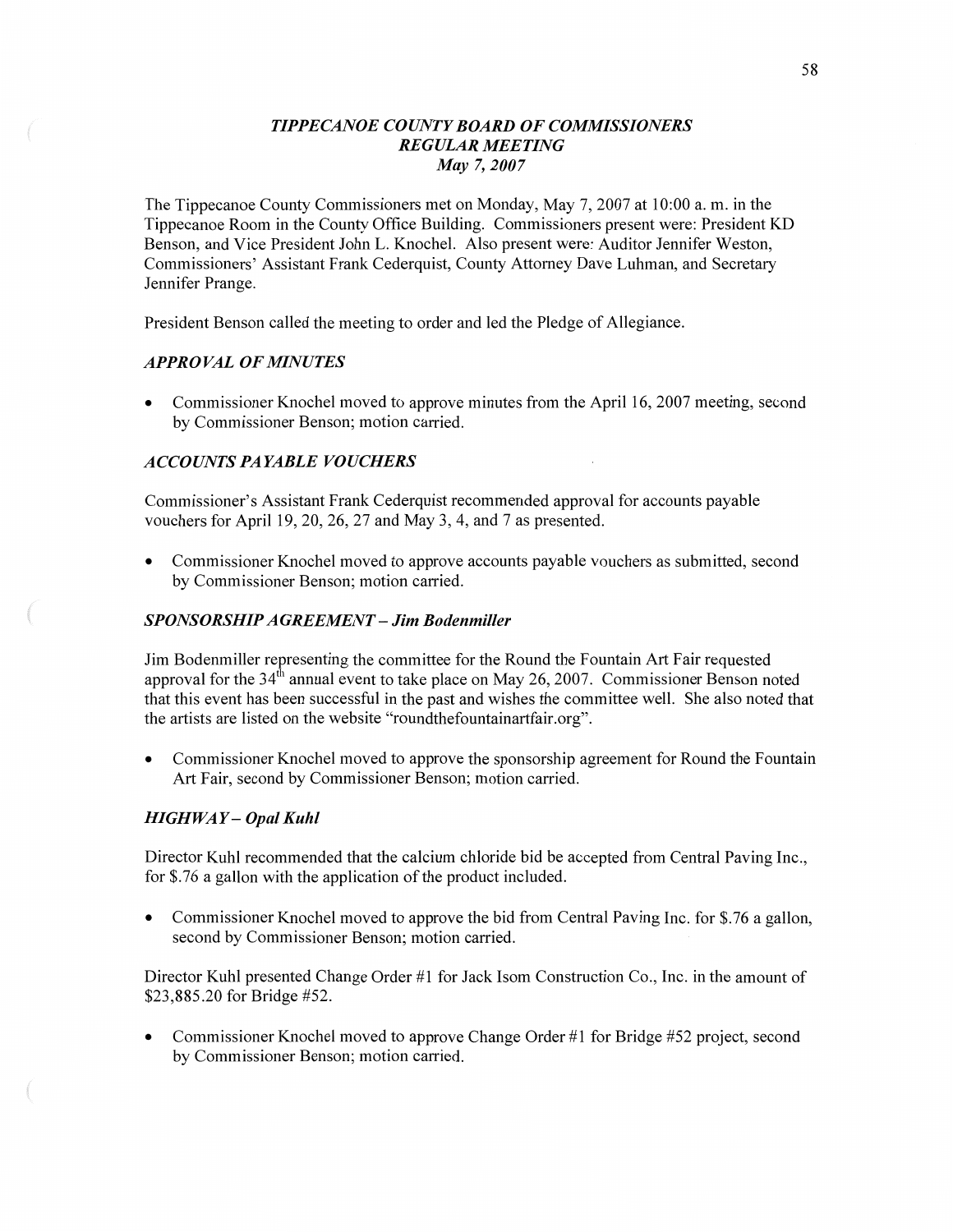## *TIPPE CANOE COUNTY BOARD* OF *COMMISSIONERS REGULAR MEETING*  May 7, *2007*

The Tippecanoe County Commissioners met on Monday, May 7, 2007 at 10:00 a. m. in the Tippecanoe Room in the County Office Building. Commissioners present were: President KD Benson, and Vice President John L. Knochel. Also present were: Auditor Jennifer Weston, Commissioners' Assistant Frank Cederquist, County Attorney Dave Luhman, and Secretary Jennifer Prange.

President Benson called the meeting to order and led the Pledge of Allegiance.

## *APPROVAL* OF *MINUTES*

• Commissioner Knochel moved to approve minutes from the April 16, 2007 meeting, second by Commissioner Benson; motion carried.

# *ACCOUNTS* PA *YABLE VOUCHERS*

Commissioner's Assistant Frank Cederquist recommended approval for accounts payable vouchers for April 19, 20, 26, 27 and May 3, 4, and 7 as presented.

**0** Commissioner Knochel moved to approve accounts payable vouchers as submitted, second by Commissioner Benson; motion carried.

### *SPONSORSHIPAGREEMEN T* — Jim *Bodenmiller*

Jim Bodenmiller representing the committee for the Round the Fountain Art Fair requested approval for the 34th annual event to take place on May 26, **2007.** Commissioner **Benson** noted that **this** event has been successful in the past and wishes the committee well. She also noted that the artists are listed on the website "roundthefountainartfair.org".

• Commissioner Knochel moved to approve the sponsorship agreement for Round the Fountain Art Fair, second by Commissioner Benson; motion carried.

## *HIGH* WAY **—** *Opal Kuhl*

Director Kuhl recommended that the calcium chloride bid be accepted from Central Paving Inc., for \$.76 a gallon with the application of the product included.

Commissioner Knochel moved to approve the bid from Central Paving Inc. for \$.76 a gallon, second by Commissioner Benson; motion carried.

Director Kuhl presented Change Order #1 for Jack Isom Construction Co., Inc. in the amount of \$23,885.20 for Bridge #52.

**0** Commissioner Knochel moved to approve Change Order #1 for Bridge #52 project, **second**  by Commissioner Benson; motion carried.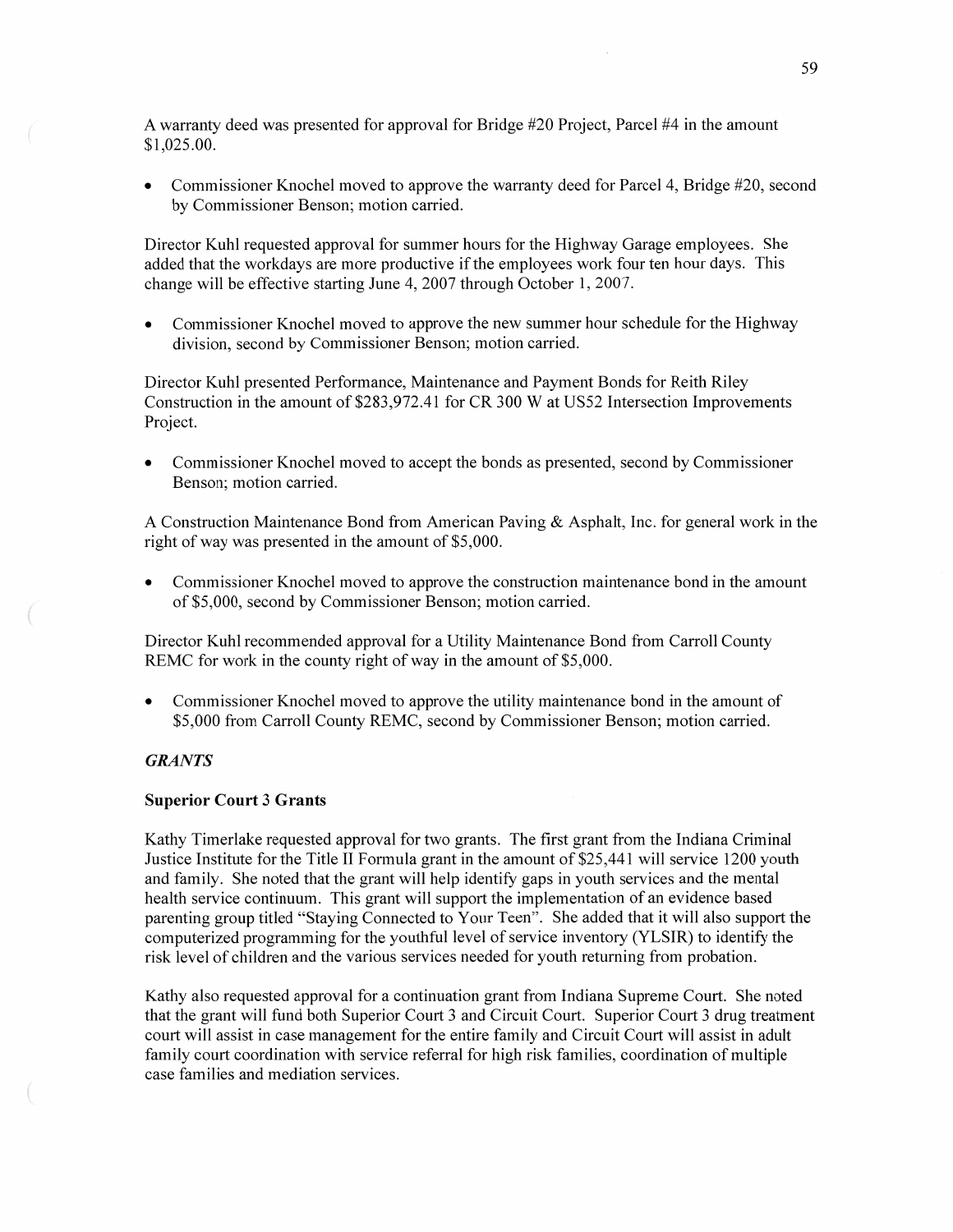**A** warranty deed was presented for approval for Bridge #20 Project, Parcel #4 in the amount \$ 1 ,025 **.00.** 

**0** Commissioner Knochel moved to approve the warranty deed for Parcel 4, Bridge #20, second by Commissioner Benson; motion carried.

Director Kuhl requested approval for summer hours for the Highway Garage employees. She added that the workdays are more productive if the employees work four ten hour days. This change will be effective starting June 4, 2007 through October 1, 2007.

**0** Commissioner Knochel moved to approve the new summer hour schedule for the Highway division, second by Commissioner Benson; motion carried.

Director Kuhl presented Performance, Maintenance and Payment Bonds for Reith Riley Construction in the amount of \$283,972.41 for CR 300 W at US52 Intersection Improvements Project.

**0** Commissioner Knochel moved to accept the bonds as presented, second by Commissioner Benson; motion carried.

**A** Construction Maintenance Bond from American Paving & Asphalt, Inc. for general work in the right of way was presented in the amount of \$5,000.

Commissioner Knochel moved to approve the construction maintenance bond in the amount of \$5,000, second by Commissioner Benson; motion carried.

Director Kuhl recommended approval for a Utility Maintenance Bond from Carroll County REMC for work in the county right of way in the amount of \$5,000.

**0** Commissioner Knochel moved to approve the utility maintenance bond in the amount of \$5,000 from Carroll County REMC, second by Commissioner Benson; motion carried.

# *GRANTS*

#### **Superior Court** 3 **Grants**

Kathy Timerlake requested approval for two grants. The first grant from the Indiana Criminal Justice Institute for the Title II Formula grant in the amount of \$25,441 will service 1200 youth and **family.** She noted that the grant will help identify gaps in youth services and the mental health service continuum. This grant will support the implementation of an evidence based parenting group titled "Staying Connected to Your Teen". She added that it will also support the computerized programming for the youthful level of service inventory (YLSIR) to identify the risk level of children and the various services needed for youth returning from probation.

Kathy also requested approval for a continuation grant from Indiana Supreme Court. She noted **that** the grant will fund both Superior Court 3 and Circuit Court. Superior Court 3 drug treatment court Will assist in case management for the entire family and Circuit Court will assist in adult family court coordination with service referral for high risk families, coordination of multiple case families and mediation services.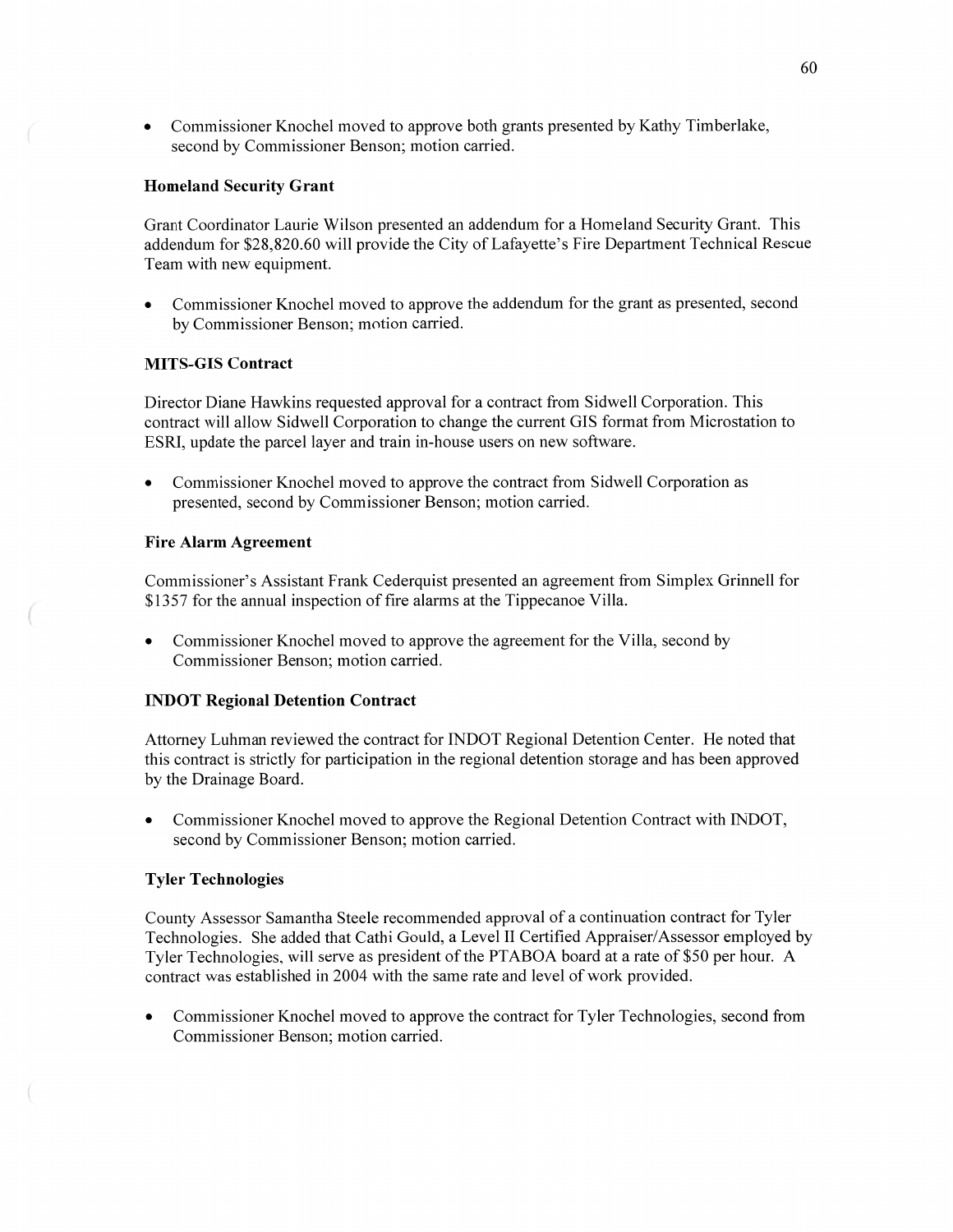**0** Commissioner Knochel moved to approve both grants presented by Kathy Timberlake, second by Commissioner Benson; motion carried.

### **Homeland Security Grant**

Grant Coordinator Laurie Wilson presented an addendum for a Homeland Security Grant. This addendum for \$28,820.60 will provide the City of Lafayette's Fire Department Technical Rescue Team with new equipment.

**0** Commissioner Knochel moved to approve the addendum for the grant as presented, second by Commissioner Benson; motion carried.

# **MITS-GIS Contract**

Director Diane Hawkins requested approval for a contract from Sidwell Corporation. This contract will allow Sidwell Corporation to change the current GIS format from Microstation to ESRI, update the parcel layer and train in-house users on new software.

**0** Commissioner Knochel moved to approve the contract from Sidwell Corporation as presented, second by Commissioner Benson; motion carried.

#### **Fire Alarm Agreement**

Commissioner's Assistant Frank Cederquist presented an agreement from Simplex Grinnell for \$1357 for the annual inspection of fire alarms at the Tippecanoe Villa.

**0** Commissioner Knochel moved to approve the agreement for the Villa, second by Commissioner Benson; motion carried.

#### **INDOT** Regional Detention **Contract**

Attorney Luhman reviewed the contract for INDOT Regional Detention Center. He noted that this contract is strictly for participation in the regional detention storage and has been approved by the Drainage Board.

**0** Commissioner Knochel moved to approve the Regional Detention Contract with INDOT, second by Commissioner Benson; motion carried.

#### **Tyler** Technologies

County Assessor Samantha Steele recommended approval of a continuation contract for Tyler Technologies. She added that Cathi Gould, a Level 11 Certified Appraiser/Assessor employed by Tyler Technologies, will serve as president of the PTABOA board at a rate of \$50 per hour. **A**  contract was established in 2004 with the same rate and level of work provided.

**0** Commissioner Knochel moved to approve the contract for Tyler Technologies, second from Commissioner Benson; motion carried.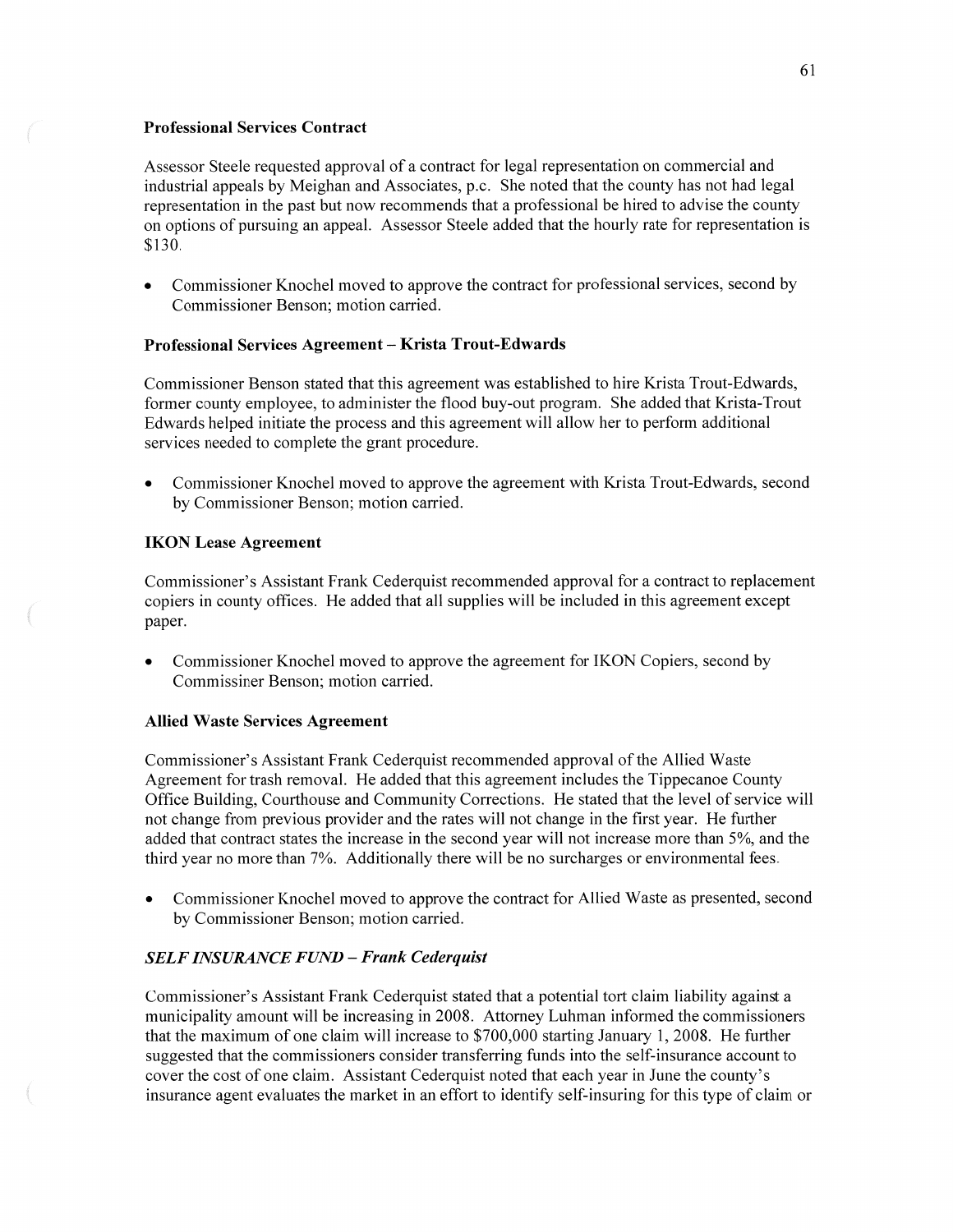## **Professional Services Contract**

Assessor Steele requested approval of a contract for legal representation on commercial and industrial appeals by Meighan and Associates, *p.c.* She noted that the county has not had legal representation in the past but now recommends that **a** professional be hired to advise the county on options of pursuing an appeal. Assessor Steele added that the hourly rate for representation is \$ **1** 3 0.

**0** Commissioner Knochel moved to approve the contract for professional services, second by Commissioner Benson; motion carried.

## **Professional Services Agreement — Krista Trout-Edwards**

Commissioner Benson stated that this agreement was established to hire Krista Trout-Edwards, former county employee, to administer the flood buy-out program. She added that Krista-Trout Edwards helped initiate the process and this agreement will allow her to perform additional services needed to complete the grant procedure.

**0** Commissioner Knochel moved to approve the agreement with Krista Trout-Edwards, second by Commissioner Benson; motion carried.

# **IKON Lease Agreement**

Commissioner's Assistant Frank Cederquist recommended approval for **a** contract to replacement copiers in county offices. He added that all supplies will be included in this agreement excep<sup>t</sup> paper.

**0** Commissioner Knochel moved to approve the agreement for IKON Copiers, second by Commissiner Benson; motion carried.

### Allied **Waste Services Agreement**

Commissioner's Assistant Frank Cederquist recommended approval of the Allied Waste Agreement for trash removal. He added that this agreement includes the Tippecanoe County Office Building, Courthouse and Community Corrections. He stated that the level of service will not change from previous provider and the rates will not change in the first year. He further added that contract states the increase in the second year will not increase more than 5%, and the third year no more than 7%. Additionally there will be no surcharges or environmental fees.

Commissioner Knochel moved to approve the contract for Allied Waste as presented, second by Commissioner Benson; motion carried.

# *SELF INSURANCE FUND* **—** *Frank Cederquist*

Commissioner's Assistant Frank Cederquist stated that a potential tort claim liability against a municipality amount will be increasing in 2008. Attorney Luhman informed the commissioners that the maximum of one claim will increase to \$700,000 starting January 1, 2008. He further suggested that the commissioners consider transferring fimds into the self-insurance account to cover the cost of one claim. Assistant Cederquist noted that each year in June the county's insurance agent evaluates the market in an effort to identify self-insuring for this type of claim or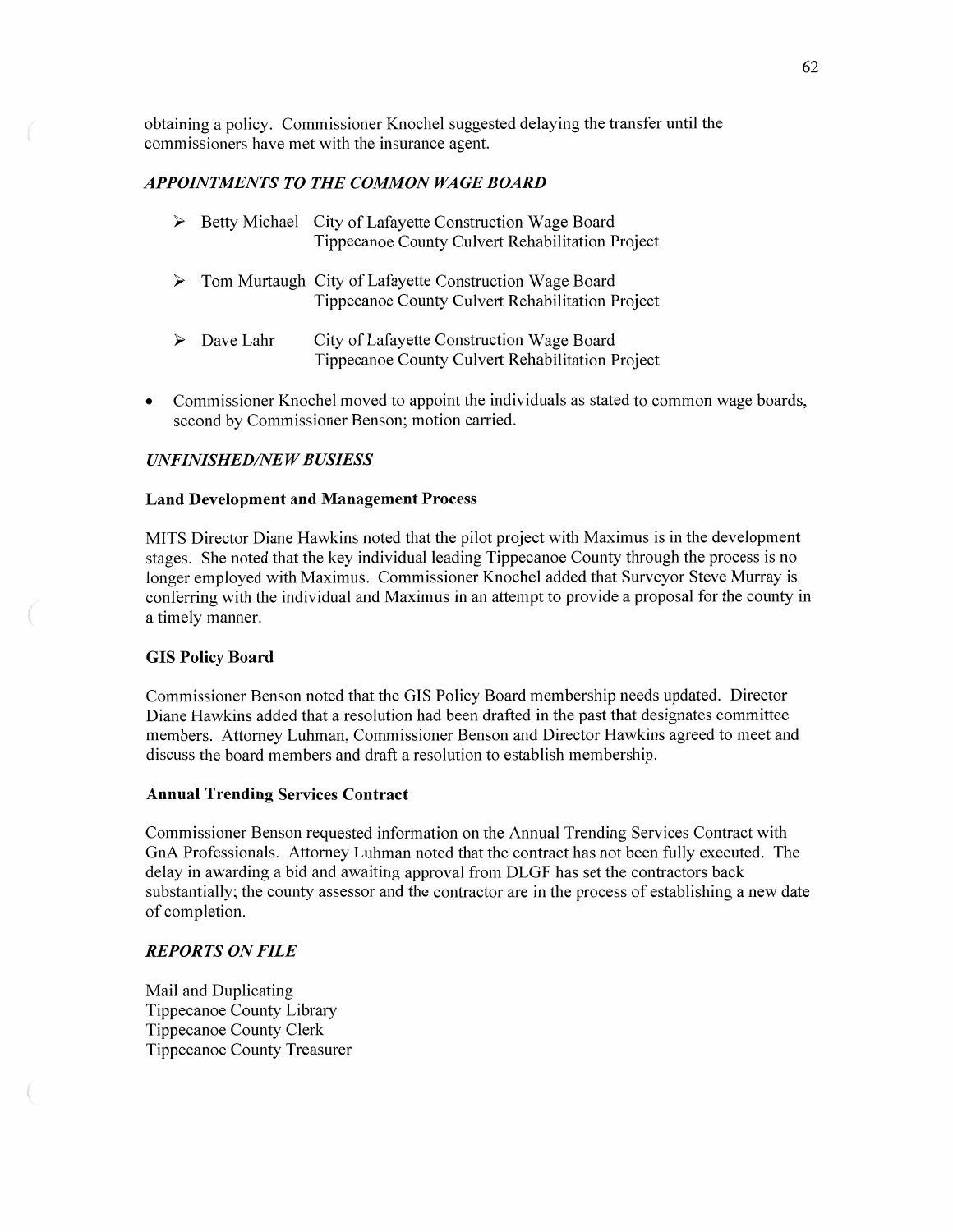obtaining **<sup>a</sup>**policy. Commissioner Knochel suggested delaying the transfer until the commissioners have met with the insurance agent.

## *APPOINTMENTS T 0* THE *COMMON WAGE BOARD*

|                            | Betty Michael City of Lafayette Construction Wage Board<br>Tippecanoe County Culvert Rehabilitation Project  |
|----------------------------|--------------------------------------------------------------------------------------------------------------|
|                            | > Tom Murtaugh City of Lafayette Construction Wage Board<br>Tippecanoe County Culvert Rehabilitation Project |
| $\triangleright$ Dave Lahr | City of Lafayette Construction Wage Board<br>Tippecanoe County Culvert Rehabilitation Project                |

**0** Commissioner Knochel moved to appoint the individuals as stated to common wage boards, second by Commissioner Benson; motion carried.

## *UNFINISHED/NEW BUSIESS*

#### **Land Development** and **Management Process**

**MITS** Director **Diane** Hawkins noted that the pilot project with Maximus is in the development stages. She noted that the key individual leading Tippecanoe County through the process is no longer employed with Maximus. Commissioner Knochel added that Surveyor Steve Murray is conferring with the individual and Maximus in an attempt to provide a proposal for the county in a timely manner.

#### GIS **Policy Board**

Commissioner Benson noted that the GIS Policy Board membership needs updated. Director Diane Hawkins added that a resolution had been drafted in the past that designates committee members. Attorney Luhman, Commissioner Benson and Director Hawkins agreed to meet and discuss the board members and draft a resolution to establish membership.

### Annual **Trending Services Contract**

Commissioner Benson requested information on the Annual Trending Services Contract with GnA Professionals. Attorney Luhman noted that the contract has not been fully executed. The delay in awarding a bid and awaiting approval from DLGF has set the contractors back substantially; the county assessor and the contractor are in the process of establishing a new date of completion.

## *REPORTS* ON *FILE*

Mail and Duplicating Tippecanoe County Library Tippecanoe County Clerk Tippecanoe County Treasurer